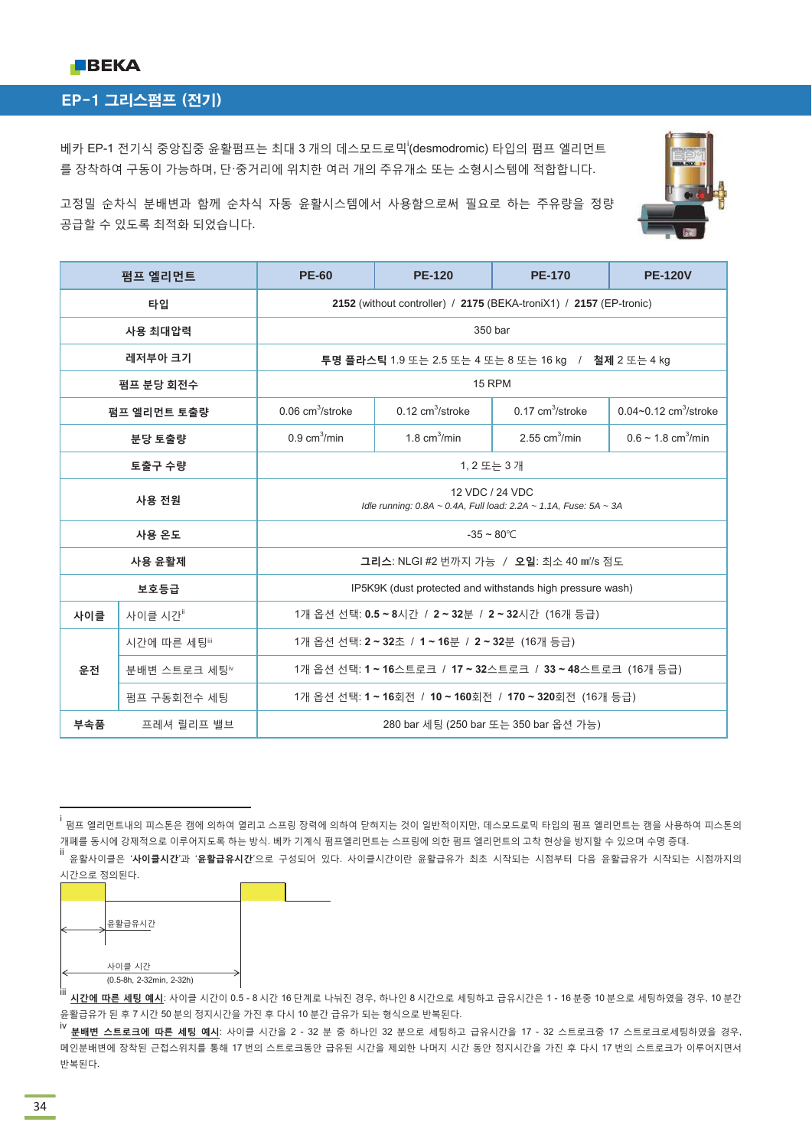

## EP-1 그리스펌프 (전기)

베카 EP-1 전기식 중앙집중 윤활펌프는 최대 3 개의 데스모드로믹<sup>i</sup>(desmodromic) 타입의 펌프 엘리먼트 를 장착하여 구동이 가능하며, 단·중거리에 위치한 여러 개의 주유개소 또는 소형시스템에 적합합니다.



고정밀 순차식 부배변과 함께 수차식 자동 유활시스템에서 사용함으로써 필요로 하는 주유량을 정량 공급할 수 있도록 최적화 되었습니다.

|                                                                 | 펌프 엘리먼트      | <b>PE-60</b>                                                                        | <b>PE-120</b>                     | <b>PE-170</b>                                                      | <b>PE-120V</b>                        |  |
|-----------------------------------------------------------------|--------------|-------------------------------------------------------------------------------------|-----------------------------------|--------------------------------------------------------------------|---------------------------------------|--|
|                                                                 | 타입           |                                                                                     |                                   | 2152 (without controller) / 2175 (BEKA-troniX1) / 2157 (EP-tronic) |                                       |  |
| 사용 최대압력                                                         |              | 350 bar                                                                             |                                   |                                                                    |                                       |  |
| 레저부아 크기<br>투명 플라스틱 1.9 또는 2.5 또는 4 또는 8 또는 16 kg / 철제 2 또는 4 kg |              |                                                                                     |                                   |                                                                    |                                       |  |
|                                                                 | 펌프 분당 회전수    |                                                                                     | 15 RPM                            |                                                                    |                                       |  |
|                                                                 | 펌프 엘리먼트 토출량  | $0.06$ cm <sup>3</sup> /stroke                                                      | $0.12 \text{ cm}^3/\text{stroke}$ | $0.17 \text{ cm}^3/\text{stroke}$                                  | $0.04 - 0.12$ cm <sup>3</sup> /stroke |  |
|                                                                 | 분당 토출량       | $0.9 \text{ cm}^3/\text{min}$                                                       | 1.8 $cm3/min$                     | 2.55 $cm3/min$                                                     | $0.6 \sim 1.8$ cm <sup>3</sup> /min   |  |
|                                                                 | 토출구 수량       |                                                                                     | 1, 2 또는 3 개                       |                                                                    |                                       |  |
| 사용 전원                                                           |              | 12 VDC / 24 VDC<br>Idle running: 0.8A ~ 0.4A, Full load: 2.2A ~ 1.1A, Fuse: 5A ~ 3A |                                   |                                                                    |                                       |  |
| 사용 온도                                                           |              | $-35 \sim 80^{\circ}$ C                                                             |                                   |                                                                    |                                       |  |
| 사용 윤활제                                                          |              | 그리스: NLGI #2 번까지 가능 / 오일: 최소 40 mm'/s 점도                                            |                                   |                                                                    |                                       |  |
|                                                                 | 보호등급         |                                                                                     |                                   | IP5K9K (dust protected and withstands high pressure wash)          |                                       |  |
| 사이클                                                             | 사이클 시간"      | 1개 옵션 선택: 0.5 ~ 8시간 / 2 ~ 32분 / 2 ~ 32시간 (16개 등급)                                   |                                   |                                                                    |                                       |  |
| 운전                                                              | 시간에 따른 세팅"   | 1개 옵션 선택: 2 ~ 32초 / 1 ~ 16분 / 2 ~ 32분 (16개 등급)                                      |                                   |                                                                    |                                       |  |
|                                                                 | 분배변 스트로크 세팅™ | 1개 옵션 선택: 1 ~ 16스트로크 / 17 ~ 32스트로크 / 33 ~ 48스트로크 (16개 등급)                           |                                   |                                                                    |                                       |  |
|                                                                 | 펌프 구동회전수 세팅  | 1개 옵션 선택: 1 ~ 16회전 / 10 ~ 160회전 / 170 ~ 320회전 (16개 등급)                              |                                   |                                                                    |                                       |  |
| 부속품                                                             | 프레셔 릴리프 밸브   | 280 bar 세팅 (250 bar 또는 350 bar 옵션 가능)                                               |                                   |                                                                    |                                       |  |

i<br>'펌프 엘리먼트내의 피스톤은 캠에 의하여 열리고 스프링 장력에 의하여 닫혀지는 것이 일반적이지만, 데스모드로믹 타입의 펌프 엘리먼트는 캠을 사용하여 피스톤의 개페를 동시에 강제적으로 이루어지도록 하는 방식. 베카 기계식 펌프엘리먼트는 스프링에 의한 펌프 엘리먼트의 고착 현상을 방지할 수 있으며 수명 증대. …<br>╙ 유활사이클은 '**사이클시간**'과 '**윤활급유시간**'으로 구성되어 있다. 사이클시간이란 윤활급유가 최초 시작되는 시점부터 다음 윤활급유가 시작되는 시점까지의 시간으로 정의된다.

|    | 윤활급유시간                             |  |
|----|------------------------------------|--|
| 88 | 사이클 시간<br>(0.5-8h, 2-32min, 2-32h) |  |

...<br>'" <mark>시간에 따른 세팅 예시</mark>: 사이클 시간이 0.5 - 8 시간 16 단계로 나눠진 경우, 하나인 8 시간으로 세팅하고 급유시간은 1 - 16 분중 10 분으로 세팅하였을 경우, 10 분간</mark> 윤활급유가 된 후 7 시간 50 분의 정지시간을 가진 후 다시 10 분간 급유가 되는 형식으로 반복된다.<br>iv

 $\frac{11.16}{10.66}$  스트로크에 따른 세팅 예시: 사이클 시간을 2 - 32 분 중 하나인 32 분으로 세팅하고 급유시간을 17 - 32 스트로크중 17 스트로크로세팅하였을 경우, 메인분배변에 장착된 근접스위치를 통해 17 번의 스트로크동안 급유된 시간을 제외한 나머지 시간 동안 정지시간을 가진 후 다시 17 번의 스트로크가 이루어지면서 반복된다.